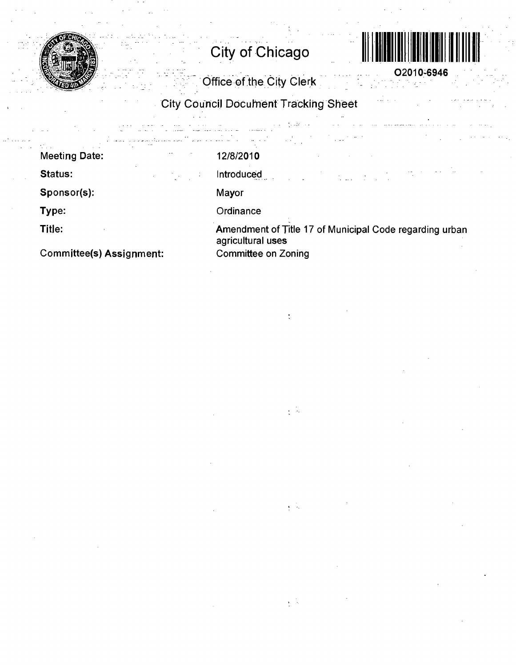

**City of Chieago** 



**02010-6946** 

Office of the City Clerk

City Council Docuhienf Tracking Sheet

|                                 |     | and the company of the company of<br>and the same<br>$\sim$ 100 $\mu$        |
|---------------------------------|-----|------------------------------------------------------------------------------|
| <b>Meeting Date:</b>            |     | 12/8/2010                                                                    |
| Status:                         | -11 | Introduced<br>in an Aonaichte<br>Bailtean an Aonaichte                       |
| Sponsor(s):                     |     | Mayor                                                                        |
| Type:                           |     | Ordinance                                                                    |
| Title:                          |     | Amendment of Title 17 of Municipal Code regarding urban<br>agricultural uses |
| <b>Committee(s) Assignment:</b> |     | <b>Committee on Zoning</b>                                                   |

 $\sim$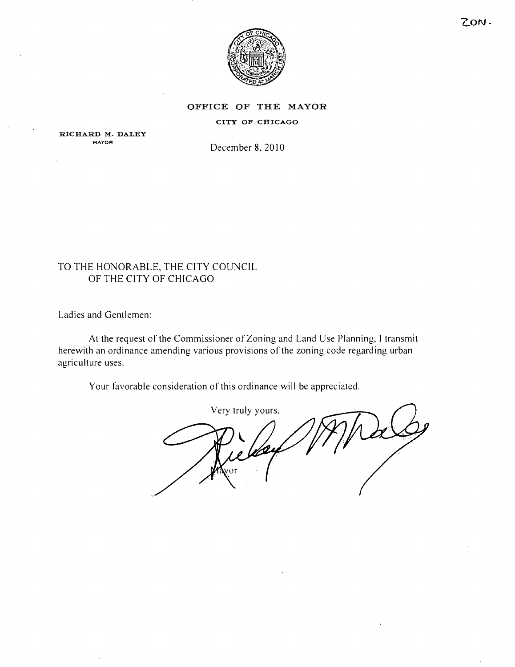

#### OFFICE OF THE MAYOR

#### CITY OF CHICAGO

RICHARD M. DALEY **MAYOR** 

December 8, 2010

# TO THE HONORABLE, THE CITY COUNCIL OF THE CITY OF CHICAGO

Ladies and Gentlemen:

At the request of the Commissioner of Zoning and Land Use Planning, I transmit herewith an ordinance amending various provisions of the zoning code regarding urban agriculture uses.

Your favorable consideration of this ordinance will be appreciated.

Very truly yours.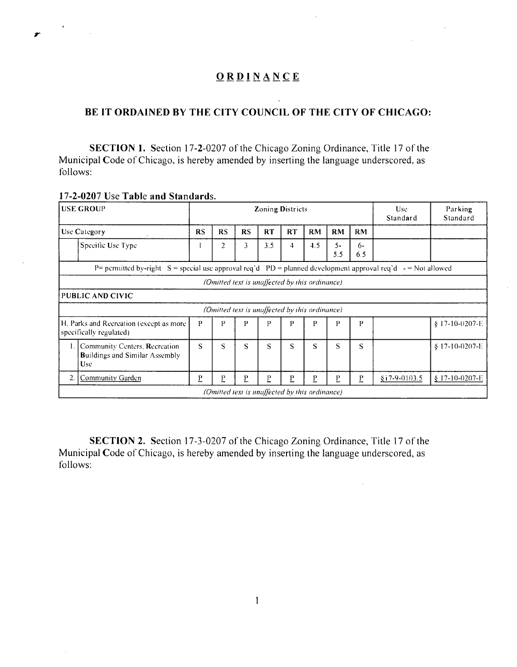# **BE IT ORDAINED BY THE CITY COUNCIL OF THE CITY OF CHICAGO:**

SECTION 1. Section 17-2-0207 of the Chicago Zoning Ordinance, Title 17 of the Municipal Code of Chicago, is hereby amended by inserting the language underscored, as follows:

|                                                                                                                                                    | <b>USE GROUP</b>                                                                                                 |                  |                   |    | <b>Zoning Districts</b> | <b>Use</b><br>Standard | Parking<br>Standard                            |           |              |  |                  |  |  |  |  |
|----------------------------------------------------------------------------------------------------------------------------------------------------|------------------------------------------------------------------------------------------------------------------|------------------|-------------------|----|-------------------------|------------------------|------------------------------------------------|-----------|--------------|--|------------------|--|--|--|--|
|                                                                                                                                                    | Use Category                                                                                                     | RS               | RS                | RS | <b>RT</b>               | RT                     | <b>RM</b>                                      | RM        | <b>RM</b>    |  |                  |  |  |  |  |
|                                                                                                                                                    | Specific Use Type                                                                                                |                  | 2                 | 3  | 3.5                     | $\overline{4}$         | 4.5                                            | 5-<br>5.5 | $6 -$<br>6.5 |  |                  |  |  |  |  |
|                                                                                                                                                    | P= permitted by-right $S =$ special use approval req'd PD = planned development approval req'd $-$ = Not allowed |                  |                   |    |                         |                        |                                                |           |              |  |                  |  |  |  |  |
|                                                                                                                                                    | (Omitted text is unaffected by this ordinance)                                                                   |                  |                   |    |                         |                        |                                                |           |              |  |                  |  |  |  |  |
|                                                                                                                                                    | PUBLIC AND CIVIC                                                                                                 |                  |                   |    |                         |                        |                                                |           |              |  |                  |  |  |  |  |
|                                                                                                                                                    | (Omitted text is unaffected by this ordinance)                                                                   |                  |                   |    |                         |                        |                                                |           |              |  |                  |  |  |  |  |
|                                                                                                                                                    | H. Parks and Recreation (except as more<br>specifically regulated)                                               | P                | P                 | P  | P                       | P                      | P                                              | P         | P            |  | $$17-10-0207-F.$ |  |  |  |  |
| S<br>1. Community Centers, Recreation<br>S<br>S<br>S<br>S<br>S<br>S<br>S<br>$$17-10-0207-E$<br><b>Buildings and Similar Assembly</b><br><b>Use</b> |                                                                                                                  |                  |                   |    |                         |                        |                                                |           |              |  |                  |  |  |  |  |
| 2.                                                                                                                                                 | Community Garden                                                                                                 | $§$ i 7-9-0103.5 | $\S$ 17-10-0207-E |    |                         |                        |                                                |           |              |  |                  |  |  |  |  |
|                                                                                                                                                    |                                                                                                                  |                  |                   |    |                         |                        | (Omitted text is unaffected by this ordinance) |           |              |  |                  |  |  |  |  |

### **17-2-0207 Use Table and Standards.**

SECTION 2. Section 17-3-0207 of the Chicago Zoning Ordinance, Title 17 of the Municipal Code of Chicago, is hereby amended by inserting the language underscored, as follows: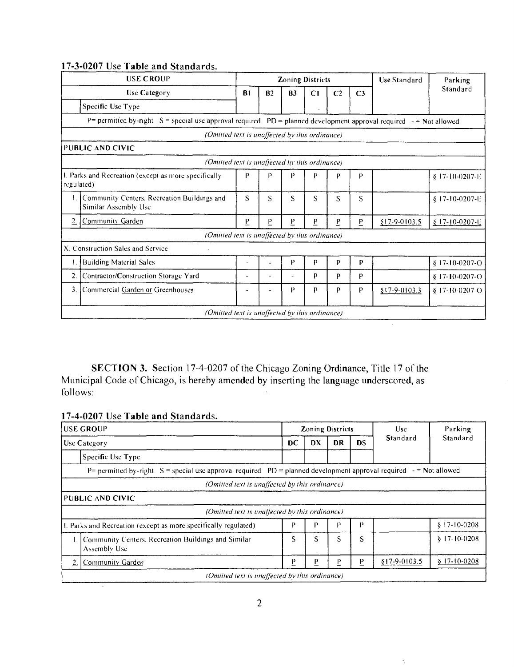|                                                                                                                           | <b>USE CROUP</b>                                                    |                |                | <b>Zoning Districts</b> |    |                |                | <b>Use Standard</b> | Parking          |  |  |  |  |  |
|---------------------------------------------------------------------------------------------------------------------------|---------------------------------------------------------------------|----------------|----------------|-------------------------|----|----------------|----------------|---------------------|------------------|--|--|--|--|--|
|                                                                                                                           | Use Category                                                        | <b>B1</b>      | B <sub>2</sub> | B <sub>3</sub>          | C1 | C <sub>2</sub> | C <sub>3</sub> |                     | Standard         |  |  |  |  |  |
|                                                                                                                           | Specific Use Type                                                   |                |                |                         |    |                |                |                     |                  |  |  |  |  |  |
| $P=$ permitted by-right $S=$ special use approval required $PD=$ planned development approval required<br>$-$ Not allowed |                                                                     |                |                |                         |    |                |                |                     |                  |  |  |  |  |  |
|                                                                                                                           | (Omitted text is unaffected by this ordinance)                      |                |                |                         |    |                |                |                     |                  |  |  |  |  |  |
|                                                                                                                           | PUBLIC AND CIVIC                                                    |                |                |                         |    |                |                |                     |                  |  |  |  |  |  |
|                                                                                                                           | (Omitted text is unaffected hy this ordinance)                      |                |                |                         |    |                |                |                     |                  |  |  |  |  |  |
| regulated)                                                                                                                | 1. Parks and Recreation (except as more specifically                | P              | D              | D                       | Þ  | p              | $\mathbf{p}$   |                     | $$17-10-0207$ -E |  |  |  |  |  |
| I.                                                                                                                        | Community Centers. Recreation Buildings and<br>Similar Assembly Use | S              | S              | S                       | S  | S              | S              |                     | $$17-10-0207-E$  |  |  |  |  |  |
| $\overline{2}$                                                                                                            | Community Garden                                                    | $\overline{b}$ | P              | P                       | P  | P              | P              | $$17-9-0103.5$      | $$17-10-0207-1$  |  |  |  |  |  |
|                                                                                                                           | (Omitted text is unaffected by this ordinance)                      |                |                |                         |    |                |                |                     |                  |  |  |  |  |  |
|                                                                                                                           | X. Construction Sales and Service                                   |                |                |                         |    |                |                |                     |                  |  |  |  |  |  |
|                                                                                                                           | <b>Building Material Sales</b>                                      |                |                | Р                       | p  | p              | P              |                     | $$17-10-0207-C$  |  |  |  |  |  |
| $\overline{2}$ .                                                                                                          | Contractor/Construction Storage Yard                                | $\blacksquare$ |                |                         | p  | р              | p              |                     | $$17-10-0207-C$  |  |  |  |  |  |
| 3.                                                                                                                        | Commercial Garden or Greenhouses                                    |                |                | Р                       | p  | p              | p              | $$17-9-0103.3$      | $$17-10-0207-C$  |  |  |  |  |  |
|                                                                                                                           | (Omitted text is unaffected by ihis ordinance)                      |                |                |                         |    |                |                |                     |                  |  |  |  |  |  |

 $\ddot{\phantom{a}}$ 

 $\hat{\mathbf{v}}$ 

# **17-3-0207 Use Table and Standards.**

SECTION 3. Section 17-4-0207 of the Chicago Zoning Ordinance, Title 17 of the Municipal Code of Chicago, is hereby amended by inserting the language underscored, as follows:

# **17-4-0207 Use Table and Standards.**

|                                                                                                             | <b>USE GROUP</b>                                                                                                       |    |    | <b>Zoning Districts</b> |           | <b>Use</b>     | Parking       |  |  |  |  |  |  |  |  |
|-------------------------------------------------------------------------------------------------------------|------------------------------------------------------------------------------------------------------------------------|----|----|-------------------------|-----------|----------------|---------------|--|--|--|--|--|--|--|--|
|                                                                                                             | <b>Use Category</b>                                                                                                    | DC | DX | DR                      | <b>DS</b> | Standard       | Standard      |  |  |  |  |  |  |  |  |
|                                                                                                             | Specific Use Type                                                                                                      |    |    |                         |           |                |               |  |  |  |  |  |  |  |  |
|                                                                                                             | P= permitted by-right $S =$ special use approval required PD = planned development approval required $-$ = Not allowed |    |    |                         |           |                |               |  |  |  |  |  |  |  |  |
|                                                                                                             | (Omitted text is unaffected by this ordinance)                                                                         |    |    |                         |           |                |               |  |  |  |  |  |  |  |  |
|                                                                                                             | <b>PUBLIC AND CIVIC</b>                                                                                                |    |    |                         |           |                |               |  |  |  |  |  |  |  |  |
|                                                                                                             | (Omitted text ts unaffected by this ordinance)                                                                         |    |    |                         |           |                |               |  |  |  |  |  |  |  |  |
|                                                                                                             | 1. Parks and Recreation (except as more specifically regulated)                                                        | P  |    |                         | P         |                | $$17-10-0208$ |  |  |  |  |  |  |  |  |
| $$17-10-0208$<br>S<br>S<br>S<br>S<br>1. Community Centers, Recreation Buildings and Similar<br>Assembly Use |                                                                                                                        |    |    |                         |           |                |               |  |  |  |  |  |  |  |  |
| 2.                                                                                                          | Community Garden                                                                                                       | P  | P  |                         | Р         | $$17-9-0103.5$ | $$17-10-0208$ |  |  |  |  |  |  |  |  |
|                                                                                                             | (Omitted text is unaffected by this ordinance)                                                                         |    |    |                         |           |                |               |  |  |  |  |  |  |  |  |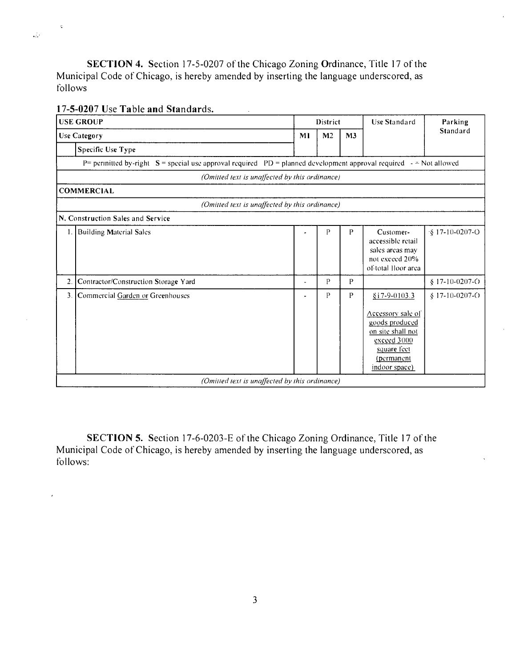SECTION 4. Section 17-5-0207 of the Chicago Zoning Ordinance, Title 17 of the Municipal Code of Chicago, is hereby amended by inserting the language underscored, as follows

# **17-5-0207 Use Table and Standards.**

 $\zeta$ 

 $\overline{ }$ 

 $\mathcal{L}^{\mathcal{L}}$ 

|    | <b>USE GROUP</b>                     |                                                | District                                                                                                                       |                | <b>Use Standard</b>                                                                                                                     | Parking                    |  |  |  |  |  |  |  |  |
|----|--------------------------------------|------------------------------------------------|--------------------------------------------------------------------------------------------------------------------------------|----------------|-----------------------------------------------------------------------------------------------------------------------------------------|----------------------------|--|--|--|--|--|--|--|--|
|    | <b>Use Category</b>                  | M <sub>l</sub>                                 | M <sub>2</sub>                                                                                                                 | M <sub>3</sub> |                                                                                                                                         | Standard                   |  |  |  |  |  |  |  |  |
|    | Specific Use Type                    |                                                |                                                                                                                                |                |                                                                                                                                         |                            |  |  |  |  |  |  |  |  |
|    |                                      |                                                | P= perinitied by-right $S =$ special use approval required $PD =$ planned development approval required $ \approx$ Not allowed |                |                                                                                                                                         |                            |  |  |  |  |  |  |  |  |
|    |                                      | (Omitted text is unaffected by this ordinance) |                                                                                                                                |                |                                                                                                                                         |                            |  |  |  |  |  |  |  |  |
|    | <b>COMMERCIAL</b>                    |                                                |                                                                                                                                |                |                                                                                                                                         |                            |  |  |  |  |  |  |  |  |
|    |                                      | (Omitted text is unaffected by this ordinance) |                                                                                                                                |                |                                                                                                                                         |                            |  |  |  |  |  |  |  |  |
|    | N. Construction Sales and Service    |                                                |                                                                                                                                |                |                                                                                                                                         |                            |  |  |  |  |  |  |  |  |
| 1. | <b>Building Material Sales</b>       |                                                | Р                                                                                                                              | P              | Customer-<br>accessible retail<br>sales areas may<br>not exceed 20%<br>of total Hoor area                                               | $\frac{1}{2}$ 17-10-0207-O |  |  |  |  |  |  |  |  |
| 2. | Contractor/Construction Storage Yard | ٠                                              | P                                                                                                                              | $\mathbf{P}$   |                                                                                                                                         | $$17-10-0207-C$            |  |  |  |  |  |  |  |  |
| 3. | Commercial Garden or Greenhouses     |                                                | P                                                                                                                              | $\mathbf{P}$   | $$17-9-0103.3$<br>Accessory sale of<br>goods produced<br>on site shall not<br>exceed 3000<br>square feet<br>(permanent<br>indoor space) | $$17-10-0207-C$            |  |  |  |  |  |  |  |  |
|    |                                      | (Omitted text is unaffected by this ordinance) |                                                                                                                                |                |                                                                                                                                         |                            |  |  |  |  |  |  |  |  |

SECTION 5. Section 17-6-0203-E of the Chicago Zoning Ordinance, Title 17 of the Municipal Code of Chicago, is hereby amended by inserting the language underscored, as follows: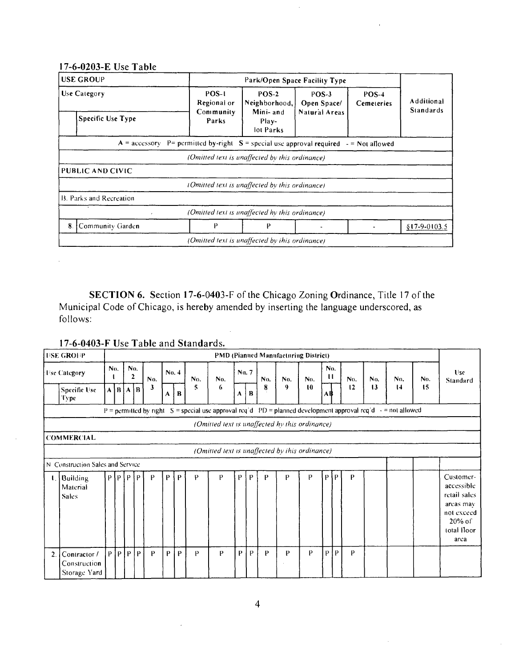|                                | 17-6-0203-E Use Table                                                                             |                                                           |                                                |                               |                     |                                       |  |  |  |  |  |  |  |
|--------------------------------|---------------------------------------------------------------------------------------------------|-----------------------------------------------------------|------------------------------------------------|-------------------------------|---------------------|---------------------------------------|--|--|--|--|--|--|--|
| <b>USE GROUP</b>               |                                                                                                   |                                                           |                                                | Park/Open Space Facility Type |                     |                                       |  |  |  |  |  |  |  |
| Use Category                   |                                                                                                   | POS-1<br>Regional or                                      | $POS-2$<br>Neighborhood,                       | POS-3<br>Open Space/          | POS-4<br>Cemeteries | <b>Additional</b><br><b>Standards</b> |  |  |  |  |  |  |  |
|                                | Mini-and<br>Natural Areas<br>Community<br><b>Specific Use Type</b><br>Parks<br>Play-<br>lot Parks |                                                           |                                                |                               |                     |                                       |  |  |  |  |  |  |  |
|                                | $A =$ accessory                                                                                   | P= permitted by-right $S =$ special use approval required |                                                |                               | $-$ = Not allowed   |                                       |  |  |  |  |  |  |  |
|                                |                                                                                                   |                                                           | (Omitted text is unaffected by this ordinance) |                               |                     |                                       |  |  |  |  |  |  |  |
| PUBLIC AND CIVIC               |                                                                                                   |                                                           |                                                |                               |                     |                                       |  |  |  |  |  |  |  |
|                                |                                                                                                   |                                                           | (Omitted text is unaffected by this ordinance) |                               |                     |                                       |  |  |  |  |  |  |  |
| <b>B. Parks and Recreation</b> |                                                                                                   |                                                           |                                                |                               |                     |                                       |  |  |  |  |  |  |  |
|                                |                                                                                                   |                                                           | (Omitted text is unaffected by this ordinance) |                               |                     |                                       |  |  |  |  |  |  |  |
| 8.                             | Community Garden                                                                                  | P                                                         | P                                              |                               |                     | $$17-9-0103.5$                        |  |  |  |  |  |  |  |
|                                |                                                                                                   |                                                           | (Omitted text is unaffected by this ordinance) |                               |                     |                                       |  |  |  |  |  |  |  |

SECTION 6. Section 17-6-0403-F of the Chicago Zoning Ordinance, Title 17 of the Municipal Code of Chicago, is hereby amended by inserting the language underscored, as follows:

**17-6-0403-F Use Table and Standards.** 

|    | <b>USE GROUP</b>                             |     |                   |                 |                 |                          |       |   |     |                                                                                                      |       |   |     |     | <b>PMD (Pianued Manufacturing District)</b> |          |             |     |                |     |     |                                                                                                        |  |  |  |
|----|----------------------------------------------|-----|-------------------|-----------------|-----------------|--------------------------|-------|---|-----|------------------------------------------------------------------------------------------------------|-------|---|-----|-----|---------------------------------------------|----------|-------------|-----|----------------|-----|-----|--------------------------------------------------------------------------------------------------------|--|--|--|
|    | <b>Tise Category</b>                         | No. |                   | $\mathbf{2}$    | No.             | No.                      | No. 4 |   | No. | No.                                                                                                  | No. 7 |   | No. | No. | No.                                         | No.<br>п |             | No. | N <sub>0</sub> | No. | No. | Use<br>Standard                                                                                        |  |  |  |
|    | Specific Use<br>Type                         |     | $A \mid B \mid A$ |                 | † B             | 3                        | A     | B | 5   | 6                                                                                                    | A     | B | 8   | 9   | $\mathbf{10}$                               | Α₿       |             | 12  | 13             | 14  | 15  |                                                                                                        |  |  |  |
|    |                                              |     |                   |                 |                 | $P =$ permitted by right |       |   |     | S = special use approval req'd $PD =$ planned development approval req'd $\rightarrow$ = not allowed |       |   |     |     |                                             |          |             |     |                |     |     |                                                                                                        |  |  |  |
|    |                                              |     |                   |                 |                 |                          |       |   |     | (Omitted text is unaffected hy this ordinance)                                                       |       |   |     |     |                                             |          |             |     |                |     |     |                                                                                                        |  |  |  |
|    | <b>COMMERCIAL</b>                            |     |                   |                 |                 |                          |       |   |     |                                                                                                      |       |   |     |     |                                             |          |             |     |                |     |     |                                                                                                        |  |  |  |
|    |                                              |     |                   |                 |                 |                          |       |   |     | (Omitted text is unaffected by this ordinance)                                                       |       |   |     |     |                                             |          |             |     |                |     |     |                                                                                                        |  |  |  |
|    | N. Construction Sales and Service            |     |                   |                 |                 |                          |       |   |     |                                                                                                      |       |   |     |     |                                             |          |             |     |                |     |     |                                                                                                        |  |  |  |
|    | 1. Building<br>Material<br><b>Sales</b>      |     |                   | $P$ $P$ $P$ $P$ |                 | P                        | P     | P | P   | P                                                                                                    | P     | P | P   | P   | P                                           |          | $P$ [ $P$ ] | P   |                |     |     | Customer-<br>accessible<br>retail sales<br>areas may<br>not exceed<br>$20\%$ of<br>total Iloor<br>arca |  |  |  |
| 2. | Contractor /<br>Construction<br>Storage Yard | P   |                   | P P             | $\mathsf{IP}^+$ | P                        | P     | P | P   | P                                                                                                    | P     | P | P   | P   | P                                           | P        | l P         | P   |                |     |     |                                                                                                        |  |  |  |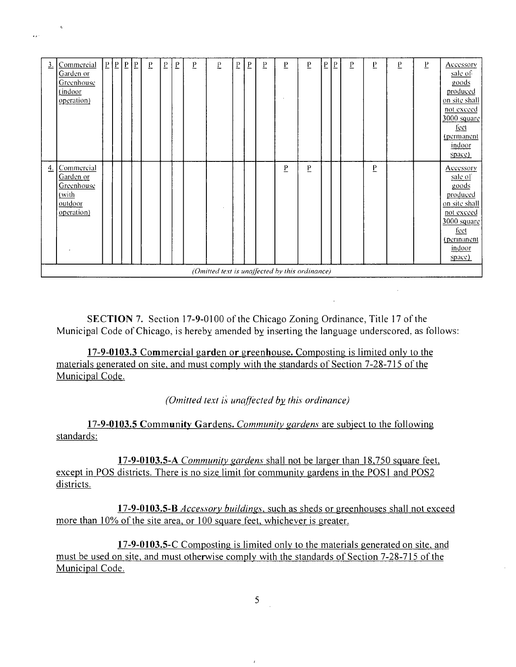| Commercial<br>$\overline{b}$<br>P<br>P<br>4.<br>Garden or<br>sale of<br>goods<br>Greenhouse<br>(with<br>produced<br>outdoor<br>operation)<br>feet<br>indoor<br>space) | $\overline{3}$ . | Commercial<br>Garden or<br>Greenhouse<br>(indoor<br>operation) | $\vert P \vert$ | $\frac{p}{2}$ | $\vert P$ | $\overline{b}$ | $\overline{\mathrm{L}}$ | $\overline{L}$ | Ŀ | P | $\mathbf{r}$ | $\overline{\mathrm{b}}$ | $\overline{b}$ | $\overline{b}$ | P | P | $\underline{\mathsf{P}}$ | $\overline{\mathbf{b}}$ | Ŀ | E | $_{\rm P}$ | F | Accessory<br>sale of<br>goods<br>produced<br>on site shall<br>not exceed<br>3000 square<br>feet<br>(permanent<br>indoor<br>space) |
|-----------------------------------------------------------------------------------------------------------------------------------------------------------------------|------------------|----------------------------------------------------------------|-----------------|---------------|-----------|----------------|-------------------------|----------------|---|---|--------------|-------------------------|----------------|----------------|---|---|--------------------------|-------------------------|---|---|------------|---|-----------------------------------------------------------------------------------------------------------------------------------|
| (Omitted text is unaffected by this ordinance)                                                                                                                        |                  |                                                                |                 |               |           |                |                         |                |   |   |              |                         |                |                |   |   |                          |                         |   |   |            |   | Accessory<br>on site shall<br>not exceed.<br>3000 square<br>(perinanent                                                           |

SECTION 7. Section 17-9-0100 of the Chicago Zoning Ordinance, Title 17 of the Municipal Code of Chicago, is hereby amended by inserting the language underscored, as follows:

17-9-0103.3 Commercial garden or greenhouse. Composting is limited only to the materials generated on site, and must comply with the standards of Section 7-28-715 of the Municipal Code.

*(Omitted text is unaffected by this ordinance)* 

17-9-0103.5 Community Gardens. Community gardens are subject to the following standards:

17-9-0103.5-A Community gardens shall not be larger than 18,750 square feet, except in POS districts. There is no size limit for community gardens in the POS1 and POS2 districts.

17-9-0103.5-B *Accessory buildings*, such as sheds or greenhouses shall not exceed more than 10% of the site area, or 100 square feet, whichever is greater.

17-9-0103.5-C Composting is limited only to the materials generated on site, and must be used on site, and must otherwise comply with the standards of Section 7-28-715 of the Municipal Code.

5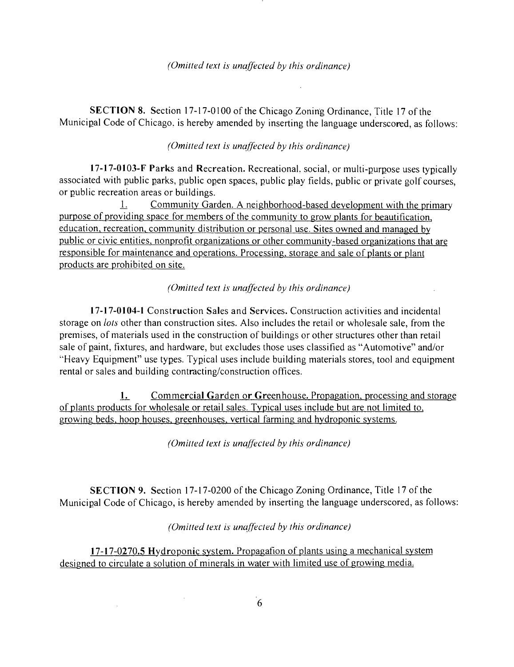SECTION 8. Section 17-17-0100 of the Chicago Zoning Ordinance, Title 17 of the Municipal Code of Chicago, is hereby amended by inserting the language underscored, as follows:

#### *(Omitted text is unaffected by this ordinance)*

17-17-0103-F Parks and Recreation. Recreational, social, or multi-purpose uses typically associated with public parks, public open spaces, public play fields, public or private golf courses, or public recreation areas or buildings.

1. Community Garden. A neighborhood-based development with the primary purpose of providing space for members of the community to grow plants for beautification, education, recreation, community distribution or personal use. Sites owned and managed by public or civic entities, nonprofit organizations or other community-based organizations that are responsible for maintenance and operations. Processing, storage and sale of plants or plant products are prohibited on site.

### *(Omitted text is unaffected by this ordinance)*

17-17-0104-1 Construction Sales and Services. Construction activities and incidental storage on *lots* other than construction sites. Also includes the retail or wholesale sale, from the premises, of materials used in the construction of buildings or other structures other than retail sale of paint, fixtures, and hardware, but excludes those uses classified as "Automotive" and/or •'Heavy Equipment" use types. Typical uses include building materials stores, tool and equipment rental or sales and building contracting/construction offices.

1. Commercial Garden or Greenhouse. Propagation, processing and storage of plants products for wholesale or retail sales. Typical uses include but are not limited to. growing beds, hoop houses, greenhouses, vertical farming and hydroponic systems.

*(Omitted text is unaffected by this ordinance)* 

SECTION 9. Section 17-17-0200 ofthe Chicago Zoning Ordinance, Title 17 of the Municipal Code of Chicago, is hereby amended by inserting the language underscored, as follows:

### *(Omitted lexl is unaffecled by this ordinance)*

17-17-0270.5 Hydroponic system. Propagafion of plants using a mechanical system designed to circulate a solution of minerals in water with limited use of growing media.

 $\alpha$